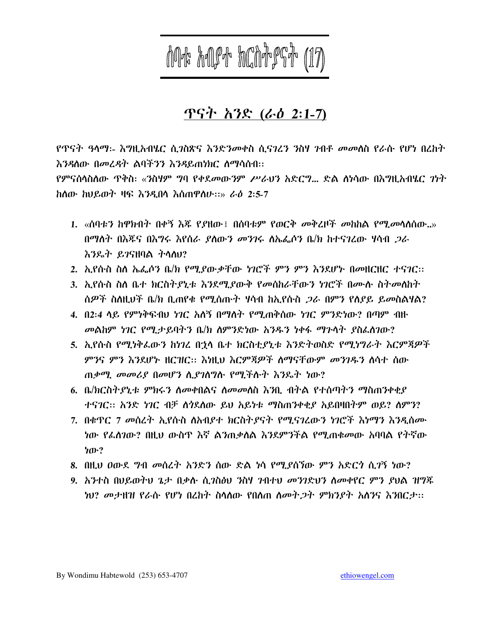**MA hOPA hCNAPGA (17)** 

# <u>ጥናት አንድ (ራዕ 2:1-7)</u>

<u>የጥናት ዓላማ፡- እግዚአብሄር ሲንስጽና እንድንመቀስ ሲናንረን ንስሃ ንብቶ መመስስ የራሱ የሆነ በረከት</u> እንዳለው በመረዳት ልባችንን እንዳይጠነክር ስማሳሰብ፡፡

የምናሰላስስው ጥቅስ፡ «ንስሃም ግባ የቀደ*መ*ውንም *ሥራህን* አድርግ... ድል ስነሳው በእግዚአብሄር *ገነት* ከሰው ከህይወት ዛፍ እንዲበሳ እሰጠዋስሁ፡፡» ራዕ 2፡5-7

- 1. «ሰባቱን ከዋክብት በቀኝ እጃ የያዘው፤ በሰባቱም የወርቅ መቅረዞች መከከል የሚመሳለሰው..» በማስት በእጁና በእግሩ እየሰራ ያሰውን መንገሩ ስኤፌሶን ቤ/ክ ከተናገረው ሃሳብ *ጋ*ራ <u>እንዴት ይገናዘባል ትሳስሀ?</u>
- 2. ኢየሱስ ስለ ኤፌሶን ቤ/ክ የሚደውቃቸው ነገሮች ምን ምን እንደሆኑ በመዘርዘር ተናገር፡፡
- 3. ኢየሱስ ስለ ቤተ ክርስትያኒቱ እንደሚያውቅ የመሰከራቸውን ነገሮች በሙሱ ስትመለከት ሰዎች ስስዚህች ቤ/ክ ቢጠየቁ የሚሰጡት ሃሳብ ከኢየሱስ *ጋ*ራ በምን የሰያይ ይመስልሃል?
- 4. በ2፡4 ላይ የምንቅፍብህ ነገር አለኝ በማለት የሚጠቅሰው ነገር ምንድነው? በጣም ብዙ መልከም ነገር የሚታይባትን ቤ/ክ ስምንድነው አንዱን ነቀፋ ማጉሳት ያስፈስገው?
- 5. ኢየሱስ የሚነቅልውን ከነገረ በኋላ ቤተ ክርስቲያኒቱ እንድትወስድ የሚነግራት እርምጃዎች *ምን*ና ምን እንደሆኑ ዘርዝር። እነዚህ እርምጃዎች ስማናቸውም *መንገ*ዱን ስሳተ ሰው ጠቃሚ መመሪያ በመሆን ሲያገስግሱ የሚችሱት እንዴት ነው?
- 6. ቤ/ክርስትያኒቱ ምክሩን ለመቀበልና ለመመለስ እንቢ ብትል የተሰጣትን ማስጠንቀቂያ ተናገር። አንድ ነገር ብቻ ስንደለው ይህ አይነቱ ማስጠንቀቂያ አይበዛበትም ወይ? ስምን?
- 7. በቁዋር 7 መሰረት ኢየሱስ ስአብያተ ክርስትያናት የሚናገረውን ነገሮች እነማን እንዲሰሙ ነው የፌስገው? በዚህ ውስዋ እኛ ልንጠቃስል እንደምንችል የሚጠቁመው አባባል የትኛው ነው?
- 8. በዚህ ዐውደ ግብ መስረት አንድን ሰው ድል ነሳ የሚደሰኘው ምን አድርጎ ሲ*ገ*ኝ ነው?
- 9. አንተስ በህይወትህ ጌታ በቃሉ ሲጋስፅህ ንስሃ ንብተህ መንገድህን ስመቀየር ምን ያህል ዝግጁ ነህ? መታዘዝ የራሱ የሆነ በረከት ስላለው የበለጠ ለመት*ጋ*ት ምክንያት አለንና እንበርታ።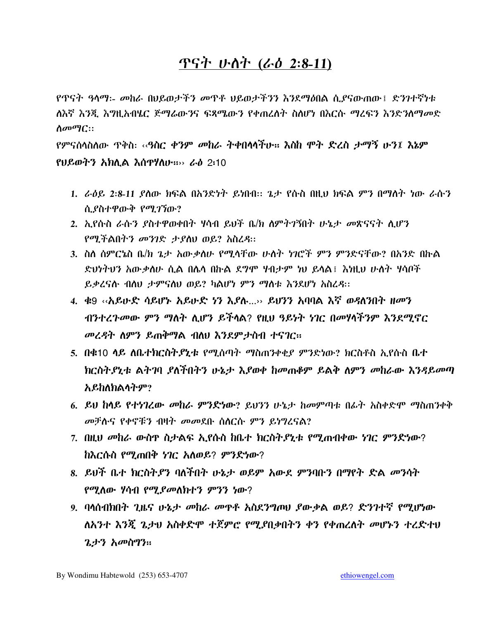# ጥናት ሁስት (ራዕ 2:8-11)

የጥናት ዓላማ፡- መከራ በህይወታችን መጥቶ ህይወታችንን እንደማዕበል ሲያናውጠው፤ ድንገተኛነቱ ለእኛ እንጂ እግዚአብሄር ጅማሬውንና ፍጻሜውን የቀጠረስት ስስሆነ በእርሱ ማረፍን እንድንስማመድ  $\Lambda \sigma \sigma \eta$ C::

የምናሰላስለው ጥቅስ፡ ‹‹**ዓስር ቀንም መከራ ትቀበላላችሁ፡፡ እስከ ሞት ድረስ ታማኝ ሁን፤ እኔም**  $P$ ሀይወትን አክሊል እስዋሃለሁ።  $\sim$  ራዕ 2:10

- 1. ራዕይ 2:8-11 ያለው ክፍል በአንድነት ይነበብ። ጌታ የሱስ በዚህ ክፍል ምን በማለት ነው ራሱን ሲያስተዋውቅ የሚገኘው?
- 2. ኢየሱስ ራሱን ያስተዋወቀበት ሃሳብ ይህች ቤ/ክ ስምትገኝበት ሁኔታ መጽናናት ሲሆን የሚችልበትን መንገድ ታያስህ ወይ? አስረዳ።
- 3. ስለ ሰምርኔስ ቤ/ክ ጌታ አውቃለሁ የሚላቸው ሁለት ነገሮች ምን ምንድናቸው? በአንድ በኩል ድህነትህን አውቃለሁ ሲል በሌላ በኩል ደግሞ ሃብታም ነህ ይላል፤ እነዚህ ሁለት ሃሳቦች ይቃረናሱ ብስህ ታምናስህ ወይ? ካልሆነ ምን ማስቱ እንደሆነ አስረዳ።
- 4. ቁ9 «አይሁድ ሳይሆኑ አይሁድ ነን እያሉ...» ይህንን አባባል እኛ ወዳለንበት ዘመን ብንተረጉመው ምን ማለት ሲሆን ይችላል? የዚህ ዓይነት ነገር በመሃላችንም እንደሚኖር መረዳት ለምን ይጠቅማል ብለህ እንደምታስብ ተናገር።
- 5. በቁ10 ሳይ ለቤተክርስትያኒቱ የሚሰጣት ማስጠንቀቂያ ምንድነው? ክርስቶስ ኢየሱስ ቤተ ክርስትያኒቱ ልትገባ ያለችበትን ሁኔታ እያወቀ ከመጠቆም ይልቅ ለምን መከራው እንዳይመጣ አይከለክልሳትም?
- 6. ይህ ከላይ የተነገረው መከራ ምንድነው? ይህንን ሁኔታ ከመምጣቱ በፊት አስቀድሞ ማስጠንቀቅ መቻሱና የቀኖቹን ብዛት መመደቡ ሰሰርሱ ምን ይነግረናል?
- 7. በዚህ መከራ ውስዋ ስታልፍ ኢየሱስ ከቤተ ክርስትያኒቱ የሚጠብቀው ነገር ምንድነው? ከእርሱስ የሚጠበቅ ነገር አለወይ? ምንድነው?
- 8. ይህች ቤተ ክርስትያን ባለችበት ሁኔታ ወይም አውደ ምንባቡን በማየት ድል መንሳት የሚለው ሃሳብ የሚ*ያመ*ለክተን ምንን ነው?
- 9. ባላሰብክበት ጊዜና ሁኔታ መከራ መዋቶ አስደንግጦሀ ያውቃል ወይ? ድንገተኛ የሚሆነው ለአንተ እንጀ ጌታህ አስቀድሞ ተጀምሮ የሚያበቃበትን ቀን የቀጠረለት መሆኑን ተረድተህ *ጌታን አመ*ስግን።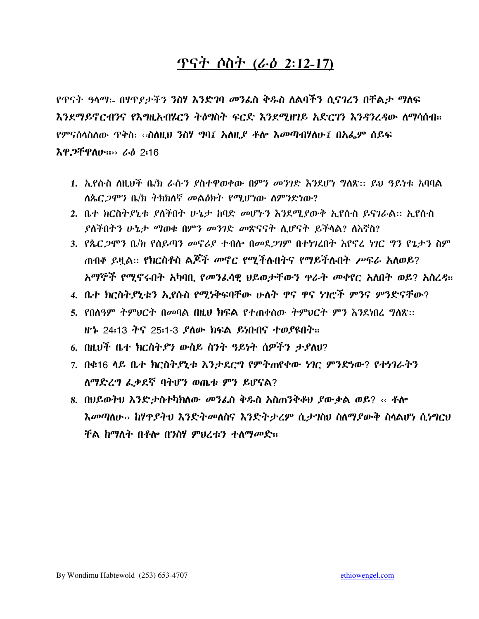# <u>ጥናት ሶስት (ራዕ 2:12-17)</u>

የጥናት *ዓ*ላማ፡- በሃጥ*ያታችን ን*ስሃ እንድገባ *መን*ፌስ ቅዱስ ለልባችን ሲናገረን በቸልታ ማለፍ እንደማይኖርብንና የእግዚአብሄርን ትስግስት ፍርድ እንደሚዘገይ አድርገን እንዳንረዳው ለማሳሰብ። የምናሰላስለው ጥቅስ፡ ‹‹**ስለዚህ ንስሃ ግባ፤ አለዚ***ያ ቶ***ሎ እ***መ***ጣብሃለ**ሁ፤ በአፌም ሰይፍ **እዋ***ጋ***ቸዋስ**ሁ።›› ራዕ 2፡16

- 1. ኢየሱስ ስዚህች ቤ/ክ ራሱን ያስተዋወቀው በምን መንገድ እንደሆነ ግለጽ፡፡ ይህ ዓይነቱ አባባል ለጴር ጋሞን ቤ/ክ ትክክለኛ መልዕክት የሚሆነው ለምንድነው?
- 2. ቤተ ክርስተያኒቱ ያስችበት ሁኔታ ከባድ መሆኑን እንደሚያውቅ ኢየሱስ ይናገራል፡፡ ኢየሱስ *ያስች*በትን ሁኔታ ማወቁ በምን መንገድ መጽናናት ሲሆናት ይችሳል? ስእኛስ?
- 3. የጴር ጋሞን ቤ/ክ የስይጣን መኖሪያ ተብሎ በመደጋገም በተነገረበት እየኖረ ነገር ግን የጌታን ስም ጠብቆ ይዟል፡፡ የክርስቶስ ልጆች መኖር የሚችሉበትና የማይችሉበት ሥፍራ አለወይ? አማኞች የሚኖሩበት አካባቢ የመንፌሳዊ ህይወታቸውን ዋራት መቀየር አለበት ወይ? አስረዳ።
- 4. ቤተ ክርስትያኒቱን አያሱስ የማነቅፍባቸው ሁለት ዋና ዋና ነገሮች ምንና ምንድናቸው?
- 5. የበለዓም ትምህርት በመባል በዚህ ክፍል የተጠቀሰው ትምህርት ምን እንደነበረ ግለጽ፡፡
- 6. በዚህች ቤተ ክርስት,የን ውስይ ስንት ዓይነት ሰዎችን ታ,የለህ?
- 7. በቁ16 ሳይ ቤተ ክርስትደኒቱ እንታደርግ የምትጠየቀው ነገር ምንድነው? የተነገራትን ለማድረግ ፌቃደኛ ባትሆን ወጤቱ ምን ይሆናል?
- 8. በሀይወትህ እንድታስተካክለው መንፌስ ቅዱስ አስጠንቅቆሀ ያውቃል ወይ? ‹‹ ቶሎ እመጣለሁ›› ከሃዋያትህ እንድትመለስና እንድትታረም ሲታገስህ ስለማያውቅ ስላልሆነ ሲነግርህ ቸል ከማለት በቶሎ በንስሃ ምህረቱን ተለማመድ።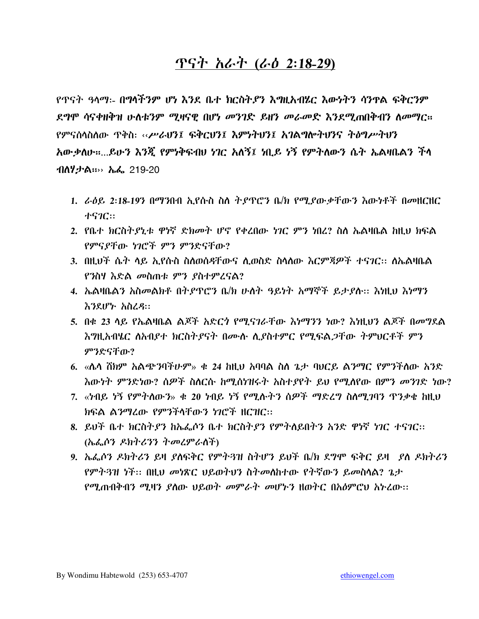### ጥናት አራት (ራዕ 2:18-29)

የጥናት ዓላማ:- በግላችንም ሆነ እንደ ቤተ ክርስትያን እግዚአብሄር እውነትን ሳንዋል ፍቅርንም ደግሞ ሳናቀዘቅዝ ሁለቱንም ሚዛናዊ በሆነ መንገድ ይዘን መራመድ እንደሚጠበቅብን ለመማር። የምናስላስለው ጥቅስ: ‹‹ሥራህን፤ ፍቅርህን፤ እምነትህን፤ አገልግሎትህንና ትስግሥትህን አውቃለሁ።...ይሁን እንጇ የምነቅፍብሀ ነገር አለኝ፤ ነቢይ ነኝ የምትለውን ሴት ኤልዛቤልን ችሳ ብለሃታል።›› ኤፌ 219-20

- 1. ራዕይ 2:18-19ን በማንበብ ኢየሱስ ስለ ትያዋሮን ቤ/ክ የሚያውቃቸውን እውነቶች በመዘርዘር **ተናንር::**
- 2. የቤተ ክርስትያኒቱ ዋነኛ ድክመት ሆኖ የቀረበው ነገር ምን ነበረ? ስስ ኤልዛቤል ከዚህ ክፍል የምናያቸው ነገሮች ምን ምንድናቸው?
- 3. በዚህች ሴት ላይ ኢየሱስ ስለወሰዳቸውና ሊወስድ ስላለው እርምጃዎች ተና*ገ*ር። ለኤልዛቤል የንስሃ እድል መስጠቱ ምን ያስተምረናል?
- 4. ኤልዛቤልን አስመልክቶ በትያዋሮን ቤ/ክ ሁለት ዓይነት አማኞች ይታያሉ፡፡ እነዚህ እነማን እንደሆኑ አስረዳ::
- 5. በቁ 23 ሳይ የኤልዛቤል ልጆች አድር*ጎ* የሚናገራቸው እነማንን ነው? እነዚህን ልጆች በመግደል እግዚአብሄር ለአብደተ ክርስትደናት በሙሉ ሊያስተምር የሚፍልጋቸው ትምህርቶች ምን ምንድናቸው?
- 6. «ሴሳ ሽክም አልጭንባችሁም» ቁ 24 ከዚህ አባባል ስስ ጌታ ባህርይ ልንማር የምንችስው አንድ እውነት ምንድነው? ሰዎች ስለርሱ ከሚሰነዝሩት አስተያየት ይህ የሚለየው በምን መንገድ ነው?
- 7. «ነብይ ነኝ የምትለውን» ቁ 20 ነብይ ነኝ የሚሉትን ሰዎች ማድረግ ስለሚገባን ጥንቃቄ ከዚህ ክፍል ልንማረው የምንችላቸውን ነገሮች ዘርዝር::
- 8. ይህች ቤተ ክርስትያን ከኤፌሶን ቤተ ክርስትያን የምትለይበትን አንድ ዋነኛ ነገር ተናገር፡፡ (ኤፌሶን ዶክትሪንን ትመረምራስች)
- 9. ኤፌሶን ዶክትሪን ይዛ ያለፍቅር የምትጓዝ ስትሆን ይህች ቤ/ክ ደግሞ ፍቅር ይዛ \_ያስ ዶክትሪን የምትጓዝ ነች። በዚህ መነጽር ህይወትህን ስትመስከተው የትኛውን ይመስላል? ጌታ የሚጠብቅብን ሚዛን ያለው ህይወት መምራት መሆኑን ዘወትር በአዕምሮህ አኑሪው፡፡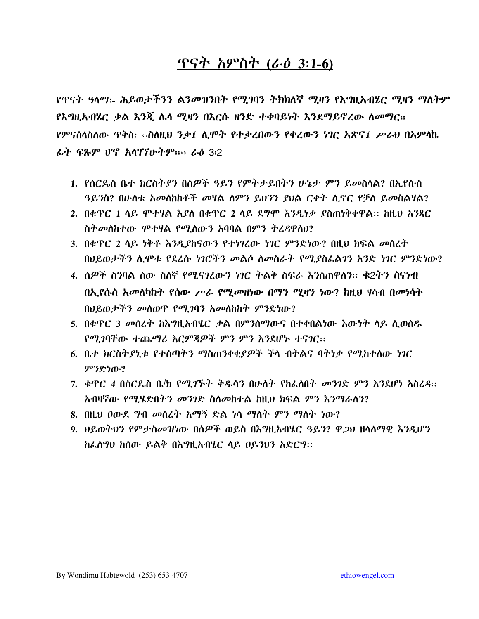# ጥናት አምስት (ራ*ዕ* 3:1-6)

የጥናት ዓላማ፡- ሕይወታችንን ልንመዝንበት የሚገባን ትክክለኛ ሚዛን የእግዚአብሄር ሚዛን ማለትም የእግዚአብሄር ቃል እንጇ ሴሳ ሚዛን በእርሱ ዘንድ ተቀባይነት እንደማይኖረው ስመማር። የምናሰላስለው ጥቅስ፡ ‹‹ስለዚህ ንቃ፤ ሲሞት የተቃረበውን የቀረውን ነገር አጽና፤ ሥራህ በአምላኬ ራት ፍጹም ሆኖ አሳገኘሁትም።›› ራዕ 3፡2

- 1. የሰርጴስ ቤተ ክርስትያን በሰዎች ዓይን የምትታይበትን ሁኔታ ምን ይመስላል? በኢየሱስ ዓይንስ? በሁለቱ አመለከከቶች መዛል ስምን ይህንን ያህል ርቀት ሲኖር የቻለ ይመስልዛል?
- 2. በቁጥር 1 ላይ ሞተሃል እያለ በቁጥር 2 ላይ ደግሞ እንዲነቃ ያስጠነቅቀዋል። ከዚህ አንጻር ስትመስከተው ሞተሃል የሚስውን አባባል በምን ትረዳዋስህ?
- 3. በቁጥር 2 ላይ ነቅቶ እንዲያከናውን የተነገረው ነገር ምንድነው? በዚህ ክፍል መስረት በህይወታችን ሲሞቱ የደረሱ ነገሮችን መልሶ ስመስራት የሚያስፌልገን አንድ ነገር ምንድነው?
- 4. ሰዎች ስንባል ሰው ስለኛ የሚናገረውን ነገር ትልቅ ስፍራ እንሰጠዋለን። ቁ2ትን ስናነብ በኢየሱስ አመለካከት የሰው ሥራ የሚመዘነው በማን ሚዛን ነው? ከዚህ ሃሳብ በመነሳት በህይወታችን መስወጥ የሚጋባን አመስከስት ምንድነው?
- 5. በቁጥር 3 መሰረት ከእግዚአብሄር ቃል በምንሰማውና በተቀበልነው እውነት ላይ ሊወሰዱ የማ ገባቸው ተጨማሪ እርምጃዎች ምን ምን እንደሆኑ ተናገር፡፡
- 6. ቤተ ክርስትያኒቱ የተሰጣትን ማስጠንቀቂያዎች ችላ ብትልና ባትነቃ የሚከተለው ነገር ምንድነው?
- 7. ቁጥር 4 በሰርጴስ ቤ/ክ የሚገኙት ቅዱሳን በሁለት የከፌስበት መንገድ ምን እንደሆነ አስረዳ:: አብዛኛው የሚሄድበትን መንገድ ስለመከተል ከዚህ ክፍል ምን እንማራለን?
- 8. በዚህ ዐውደ ግብ መሰረት አማኝ ድል ነሳ ማለት ምን ማለት ነው?
- 9. ህይወትህን የምታስመዝነው በሰዎች ወይስ በእግዚአብሄር ዓይን? ዋ*ጋ*ህ ዘሳስማዊ እንዲሆን ከፌስግህ ከሰው ይልቅ በእግዚአብሄር ላይ ዐይንህን አድርግ።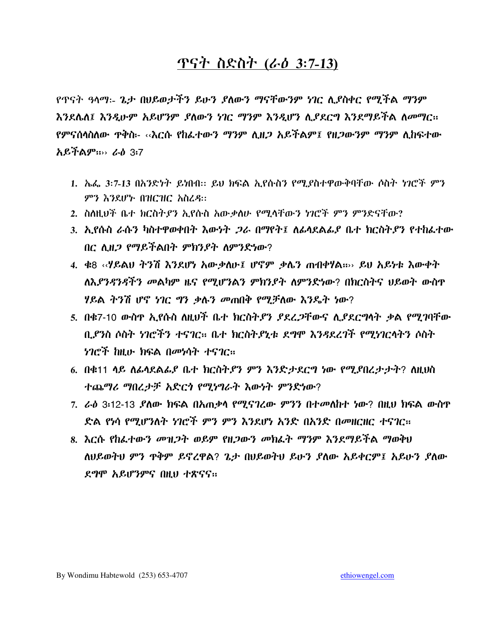#### ጥናት ስድስት (ራ*ዕ* 3:7-13)

የጥናት ዓላማ፡- ጌታ በሀይወታችን ይሁን ያለውን ማናቸውንም ነገር ሊያስቀር የሚችል ማንም እንደሌለ፤ እንዲሁም አይሆንም ያለውን ነገር ማንም እንዲሆን ሊያደርግ እንደማይችል ለመማር። የምናሰሳስለው ጥቅስ፡- ‹‹እርሱ የከፌተውን ማንም ሊዘ*ጋ* አይችልም፤ የዘ*ጋ*ውንም ማንም ሊከፍተው አይችልም።›› ራዕ 3፡7

- 1. ኤፌ 3:7-13 በአንድነት ይነበብ። ይህ ክፍል ኢየሱስን የሚያስተዋውቅባቸው ሶስት ነገሮች ምን ምን እንደሆኑ በዝርዝር አስረዳ።
- 2. ስለዚህች ቤተ ክርስትያን ኢየሱስ አውቃለሁ የሚላቸውን ነገሮች ምን ምንድናቸው?
- 3. ኢየሱስ ራሱን ካስተዋወቀበት እውነት *ጋ*ራ በማየት፤ ለፊሳደልፊያ ቤተ ክርስትያን የተከፈተው በር ሊዘ*ጋ* የማይችልበት ምክንያት ለምንድነው?
- 4. ቁ8 ‹‹ሃይልሀ ትንሽ እንደሆነ አውቃለሁ፤ ሆኖም ቃሴን ጠብቀሃል።›› ይሀ አይነቱ እውቀት ለእ*ያንዳንዳችን መ*ልካም ዜና የሚሆንልን ምክንያት ለምንድነው? በክርስትና ህይወት ውስዋ ሃይል ትንሽ ሆኖ ነገር ግን ቃሉን መጠበቅ የሚቻለው እንዴት ነው?
- 5. በቁ7-10 ውስዋ ኢየሱስ ለዚህች ቤተ ክርስት*ያን ያደረጋ*ቸውና ሊ*ያደርግ*ሳት ቃል የሚገባቸው ቢያንስ ሶስት ነገሮችን ተናገር። ቤተ ክርስትያኒቱ ደግሞ እንዳደረገች የሚነገርላትን ሶስት *ነገሮች* ከዚሁ ክፍል በመነሳት ተናገር።
- 6. በቁ11 ላይ ለፊላደልፊያ ቤተ ክርስትያን ምን እንድታደርግ ነው የሚያበረታታት? ለዚህስ ተጨማሪ ማበረታቻ አድርጎ የሚነግራት እውነት ምንድነው?
- 7. ራዕ 3፡12-13 ያለው ክፍል በአጠቃላ የሚናገረው ምንን በተመለከተ ነው? በዚህ ክፍል ውስዋ ድል የነሳ የሚሆንለት ነገሮች ምን ምን እንደሆነ አንድ በአንድ በመዘርዘር ተናገር።
- 8. እርሱ የከፌተውን መዝጋት ወይም የዘጋውን መክፌት ማንም እንደማይችል ማወቅህ ለህይወትህ ምን ዋቅም ይኖረዋል? ጌታ በህይወትህ ይሁን ያለው አይቀርም፤ አይሁን ያለው ደግሞ አይሆንምና በዚህ ተጽናና።